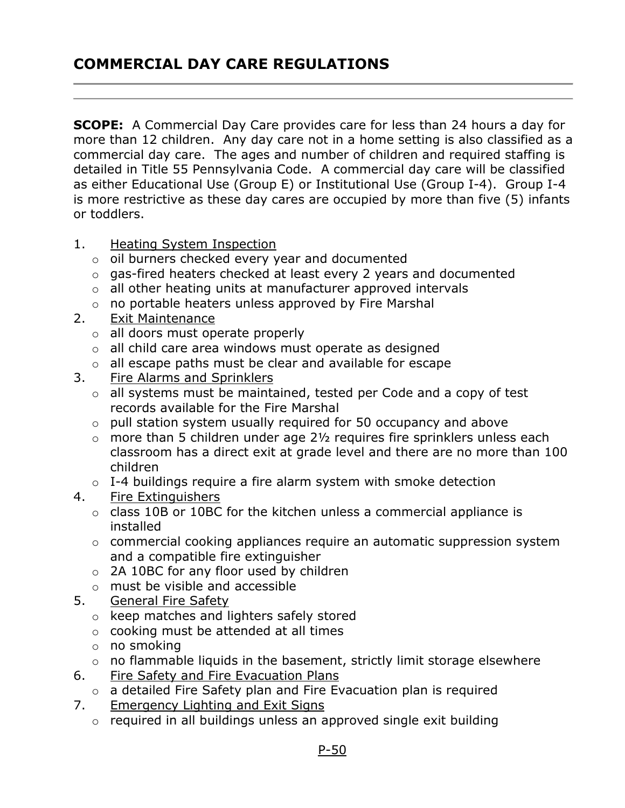## COMMERCIAL DAY CARE REGULATIONS

**SCOPE:** A Commercial Day Care provides care for less than 24 hours a day for more than 12 children. Any day care not in a home setting is also classified as a commercial day care. The ages and number of children and required staffing is detailed in Title 55 Pennsylvania Code. A commercial day care will be classified as either Educational Use (Group E) or Institutional Use (Group I-4). Group I-4 is more restrictive as these day cares are occupied by more than five (5) infants or toddlers.

- 1. Heating System Inspection
	- o oil burners checked every year and documented
	- o gas-fired heaters checked at least every 2 years and documented
	- $\circ$  all other heating units at manufacturer approved intervals
	- o no portable heaters unless approved by Fire Marshal
- 2. Exit Maintenance
	- o all doors must operate properly
	- $\circ$  all child care area windows must operate as designed
	- o all escape paths must be clear and available for escape
- 3. Fire Alarms and Sprinklers
	- $\circ$  all systems must be maintained, tested per Code and a copy of test records available for the Fire Marshal
	- o pull station system usually required for 50 occupancy and above
	- $\circ$  more than 5 children under age 2 $\frac{1}{2}$  requires fire sprinklers unless each classroom has a direct exit at grade level and there are no more than 100 children
	- o I-4 buildings require a fire alarm system with smoke detection
- 4. Fire Extinguishers
	- $\circ$  class 10B or 10BC for the kitchen unless a commercial appliance is installed
	- o commercial cooking appliances require an automatic suppression system and a compatible fire extinguisher
	- o 2A 10BC for any floor used by children
	- o must be visible and accessible
- 5. General Fire Safety
	- o keep matches and lighters safely stored
	- o cooking must be attended at all times
	- o no smoking
	- $\circ$  no flammable liquids in the basement, strictly limit storage elsewhere
- 6. Fire Safety and Fire Evacuation Plans
	- o a detailed Fire Safety plan and Fire Evacuation plan is required
- 7. Emergency Lighting and Exit Signs
	- $\circ$  required in all buildings unless an approved single exit building